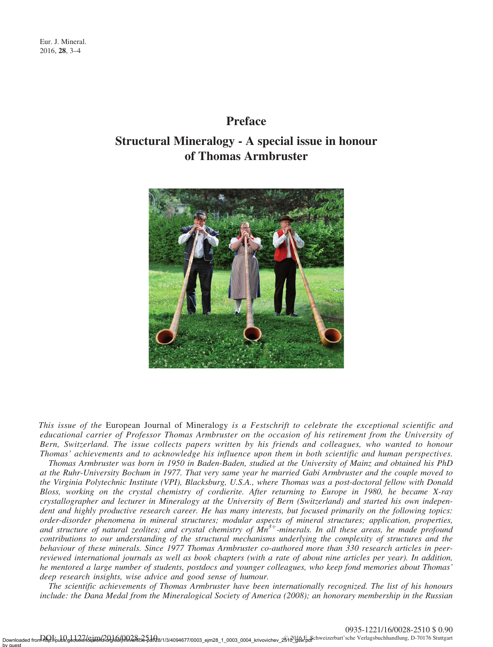by guest

## Preface

## Structural Mineralogy - A special issue in honour of Thomas Armbruster



This issue of the European Journal of Mineralogy is a Festschrift to celebrate the exceptional scientific and educational carrier of Professor Thomas Armbruster on the occasion of his retirement from the University of Bern, Switzerland. The issue collects papers written by his friends and colleagues, who wanted to honour Thomas' achievements and to acknowledge his influence upon them in both scientific and human perspectives.

Thomas Armbruster was born in 1950 in Baden-Baden, studied at the University of Mainz and obtained his PhD at the Ruhr-University Bochum in 1977. That very same year he married Gabi Armbruster and the couple moved to the Virginia Polytechnic Institute (VPI), Blacksburg, U.S.A., where Thomas was a post-doctoral fellow with Donald Bloss, working on the crystal chemistry of cordierite. After returning to Europe in 1980, he became X-ray crystallographer and lecturer in Mineralogy at the University of Bern (Switzerland) and started his own independent and highly productive research career. He has many interests, but focused primarily on the following topics: order-disorder phenomena in mineral structures; modular aspects of mineral structures; application, properties, and structure of natural zeolites; and crystal chemistry of  $Mn^{3+}$ -minerals. In all these areas, he made profound contributions to our understanding of the structural mechanisms underlying the complexity of structures and the behaviour of these minerals. Since 1977 Thomas Armbruster co-authored more than 330 research articles in peerreviewed international journals as well as book chapters (with a rate of about nine articles per year). In addition, he mentored a large number of students, postdocs and younger colleagues, who keep fond memories about Thomas' deep research insights, wise advice and good sense of humour.

The scientific achievements of Thomas Armbruster have been internationally recognized. The list of his honours include: the Dana Medal from the Mineralogical Society of America (2008); an honorary membership in the Russian